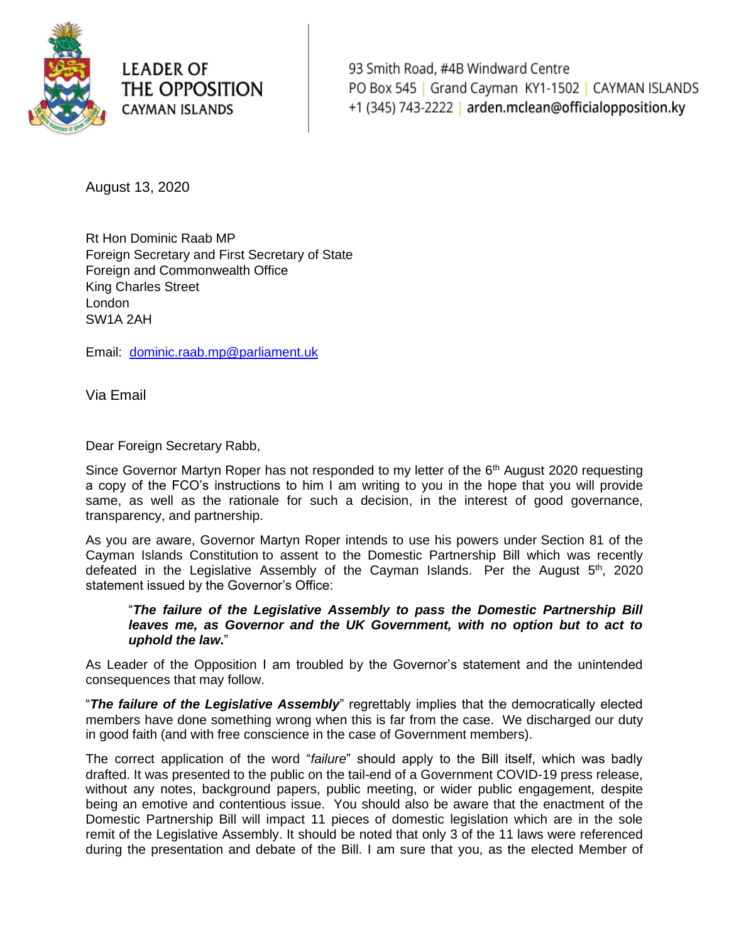

## **LEADER OF** THE OPPOSITION **CAYMAN ISLANDS**

93 Smith Road, #4B Windward Centre PO Box 545 | Grand Cayman KY1-1502 | CAYMAN ISLANDS +1 (345) 743-2222 | arden.mclean@officialopposition.ky

August 13, 2020

Rt Hon Dominic Raab MP Foreign Secretary and First Secretary of State Foreign and Commonwealth Office King Charles Street London SW1A 2AH

Email: [dominic.raab.mp@parliament.uk](mailto:dominic.raab.mp@parliament.uk)

Via Email

Dear Foreign Secretary Rabb,

Since Governor Martyn Roper has not responded to my letter of the  $6<sup>th</sup>$  August 2020 requesting a copy of the FCO's instructions to him I am writing to you in the hope that you will provide same, as well as the rationale for such a decision, in the interest of good governance, transparency, and partnership.

As you are aware, Governor Martyn Roper intends to use his powers under [Section 81 of the](https://www.caymancompass.com/wp-content/uploads/2020/08/Cayman-Islands-constitution.pdf)  [Cayman Islands Constitution](https://www.caymancompass.com/wp-content/uploads/2020/08/Cayman-Islands-constitution.pdf) to assent to the Domestic Partnership Bill which was recently defeated in the Legislative Assembly of the Cayman Islands. Per the August  $5<sup>th</sup>$ , 2020 statement issued by the Governor's Office:

"*The failure of the Legislative Assembly to pass the Domestic Partnership Bill*  leaves me, as Governor and the UK Government, with no option but to act to *uphold the law***.**"

As Leader of the Opposition I am troubled by the Governor's statement and the unintended consequences that may follow.

"*The failure of the Legislative Assembly*" regrettably implies that the democratically elected members have done something wrong when this is far from the case. We discharged our duty in good faith (and with free conscience in the case of Government members).

The correct application of the word "*failure*" should apply to the Bill itself, which was badly drafted. It was presented to the public on the tail-end of a Government COVID-19 press release, without any notes, background papers, public meeting, or wider public engagement, despite being an emotive and contentious issue. You should also be aware that the enactment of the Domestic Partnership Bill will impact 11 pieces of domestic legislation which are in the sole remit of the Legislative Assembly. It should be noted that only 3 of the 11 laws were referenced during the presentation and debate of the Bill. I am sure that you, as the elected Member of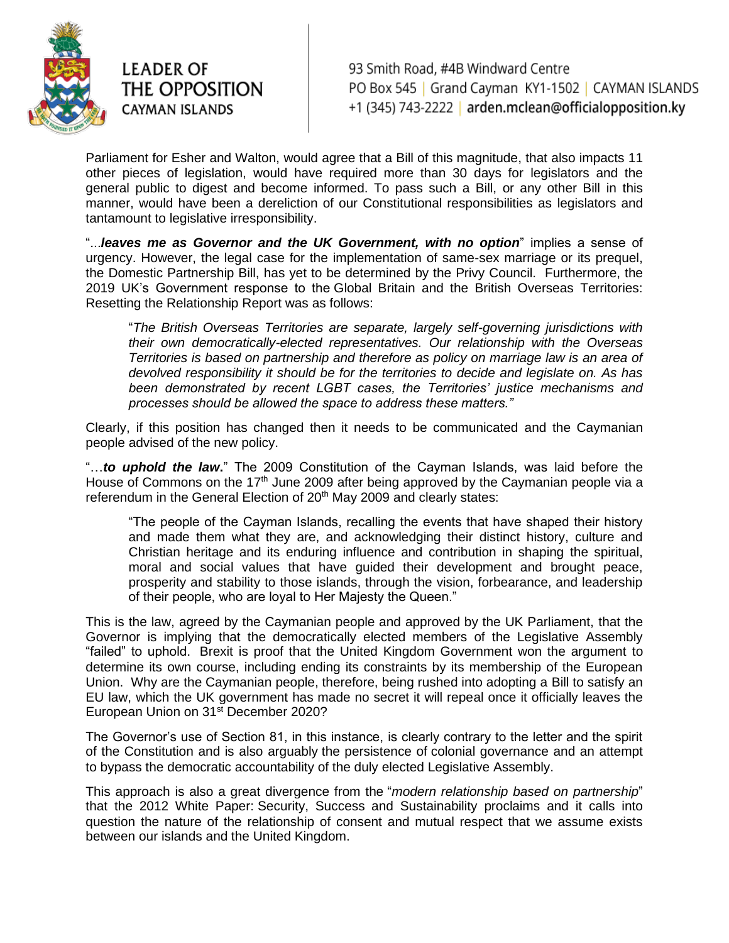

## **LEADER OF** THE OPPOSITION CAYMAN ISLANDS

93 Smith Road, #4B Windward Centre PO Box 545 | Grand Cayman KY1-1502 | CAYMAN ISLANDS +1 (345) 743-2222 arden.mclean@officialopposition.ky

Parliament for Esher and Walton, would agree that a Bill of this magnitude, that also impacts 11 other pieces of legislation, would have required more than 30 days for legislators and the general public to digest and become informed. To pass such a Bill, or any other Bill in this manner, would have been a dereliction of our Constitutional responsibilities as legislators and tantamount to legislative irresponsibility.

"...*leaves me as Governor and the UK Government, with no option*" implies a sense of urgency. However, the legal case for the implementation of same-sex marriage or its prequel, the Domestic Partnership Bill, has yet to be determined by the Privy Council. Furthermore, the 2019 UK's Government response to the Global Britain and the British Overseas Territories: Resetting the Relationship Report was as follows:

"*The British Overseas Territories are separate, largely self-governing jurisdictions with their own democratically-elected representatives. Our relationship with the Overseas Territories is based on partnership and therefore as policy on marriage law is an area of devolved responsibility it should be for the territories to decide and legislate on. As has been demonstrated by recent LGBT cases, the Territories' justice mechanisms and processes should be allowed the space to address these matters."*

Clearly, if this position has changed then it needs to be communicated and the Caymanian people advised of the new policy.

"…*to uphold the law***.**" The 2009 Constitution of the Cayman Islands, was laid before the House of Commons on the 17<sup>th</sup> June 2009 after being approved by the Caymanian people via a referendum in the General Election of 20<sup>th</sup> May 2009 and clearly states:

"The people of the Cayman Islands, recalling the events that have shaped their history and made them what they are, and acknowledging their distinct history, culture and Christian heritage and its enduring influence and contribution in shaping the spiritual, moral and social values that have guided their development and brought peace, prosperity and stability to those islands, through the vision, forbearance, and leadership of their people, who are loyal to Her Majesty the Queen."

This is the law, agreed by the Caymanian people and approved by the UK Parliament, that the Governor is implying that the democratically elected members of the Legislative Assembly "failed" to uphold. Brexit is proof that the United Kingdom Government won the argument to determine its own course, including ending its constraints by its membership of the European Union. Why are the Caymanian people, therefore, being rushed into adopting a Bill to satisfy an EU law, which the UK government has made no secret it will repeal once it officially leaves the European Union on 31st December 2020?

The Governor's use of Section 81, in this instance, is clearly contrary to the letter and the spirit of the Constitution and is also arguably the persistence of colonial governance and an attempt to bypass the democratic accountability of the duly elected Legislative Assembly.

This approach is also a great divergence from the "*modern relationship based on partnership*" that the 2012 White Paper: Security, Success and Sustainability proclaims and it calls into question the nature of the relationship of consent and mutual respect that we assume exists between our islands and the United Kingdom.